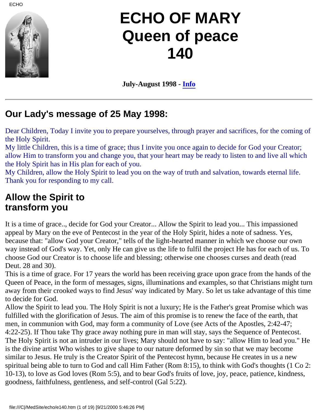

# **ECHO OF MARY Queen of peace 140**

**July-August 1998 - [Info](file:///C|/MedSite/echo/info.htm)**

### **Our Lady's message of 25 May 1998:**

Dear Children, Today I invite you to prepare yourselves, through prayer and sacrifices, for the coming of the Holy Spirit.

My little Children, this is a time of grace; thus I invite you once again to decide for God your Creator; allow Him to transform you and change you, that your heart may be ready to listen to and live all which the Holy Spirit has in His plan for each of you.

My Children, allow the Holy Spirit to lead you on the way of truth and salvation, towards eternal life. Thank you for responding to my call.

### **Allow the Spirit to transform you**

It is a time of grace.., decide for God your Creator... Allow the Spirit to lead you... This impassioned appeal by Mary on the eve of Pentecost in the year of the Holy Spirit, hides a note of sadness. Yes, because that: "allow God your Creator," tells of the light-hearted manner in which we choose our own way instead of God's way. Yet, only He can give us the life to fulfil the project He has for each of us. To choose God our Creator is to choose life and blessing; otherwise one chooses curses and death (read Deut. 28 and 30).

This is a time of grace. For 17 years the world has been receiving grace upon grace from the hands of the Queen of Peace, in the form of messages, signs, illuminations and examples, so that Christians might turn away from their crooked ways to find Jesus' way indicated by Mary. So let us take advantage of this time to decide for God.

Allow the Spirit to lead you. The Holy Spirit is not a luxury; He is the Father's great Promise which was fulfilled with the glorification of Jesus. The aim of this promise is to renew the face of the earth, that men, in communion with God, may form a community of Love (see Acts of the Apostles, 2:42-47; 4:22-25). If Thou take Thy grace away nothing pure in man will stay, says the Sequence of Pentecost. The Holy Spirit is not an intruder in our lives; Mary should not have to say: "allow Him to lead you." He is the divine artist Who wishes to give shape to our nature deformed by sin so that we may become similar to Jesus. He truly is the Creator Spirit of the Pentecost hymn, because He creates in us a new spiritual being able to turn to God and call Him Father (Rom 8:15), to think with God's thoughts (1 Co 2: 10-13), to love as God loves (Rom 5:5), and to bear God's fruits of love, joy, peace, patience, kindness, goodness, faithfulness, gentleness, and self-control (Gal 5:22).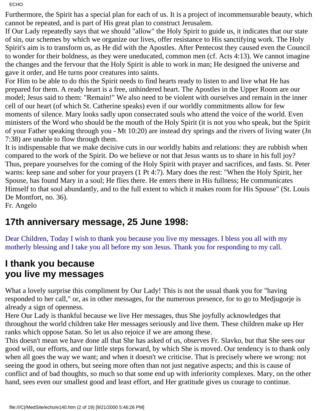Furthermore, the Spirit has a special plan for each of us. It is a project of incommensurable beauty, which cannot be repeated, and is part of His great plan to construct Jerusalem.

If Our Lady repeatedly says that we should "allow" the Holy Spirit to guide us, it indicates that our state of sin, our schemes by which we organize our lives, offer resistance to His sanctifying work. The Holy Spirit's aim is to transform us, as He did with the Apostles. After Pentecost they caused even the Council to wonder for their boldness, as they were uneducated, common men (cf. Acts 4:13). We cannot imagine the changes and the fervour that the Holy Spirit is able to work in man; He designed the universe and gave it order, and He turns poor creatures into saints.

For Him to be able to do this the Spirit needs to find hearts ready to listen to and live what He has prepared for them. A ready heart is a free, unhindered heart. The Apostles in the Upper Room are our model; Jesus said to them: "Remain!" We also need to be violent with ourselves and remain in the inner cell of our heart (of which St. Catherine speaks) even if our worldly commitments allow for few moments of silence. Mary looks sadly upon consecrated souls who attend the voice of the world. Even ministers of the Word who should be the mouth of the Holy Spirit (it is not you who speak, but the Spirit of your Father speaking through you - Mt 10:20) are instead dry springs and the rivers of living water (Jn 7:38) are unable to flow through them.

It is indispensable that we make decisive cuts in our worldly habits and relations: they are rubbish when compared to the work of the Spirit. Do we believe or not that Jesus wants us to share in his full joy? Thus, prepare yourselves for the coming of the Holy Spirit with prayer and sacrifices, and fasts. St. Peter warns: keep sane and sober for your prayers (1 Pt 4:7). Mary does the rest: "When the Holy Spirit, her Spouse, has found Mary in a soul; He flies there. He enters there in His fullness; He communicates Himself to that soul abundantly, and to the full extent to which it makes room for His Spouse" (St. Louis De Montfort, no. 36).

Fr. Angelo

### **17th anniversary message, 25 June 1998:**

Dear Children, Today I wish to thank you because you live my messages. I bless you all with my motherly blessing and I take you all before my son Jesus. Thank you for responding to my call.

### **I thank you because you live my messages**

What a lovely surprise this compliment by Our Lady! This is not the usual thank you for "having responded to her call," or, as in other messages, for the numerous presence, for to go to Medjugorje is already a sign of openness.

Here Our Lady is thankful because we live Her messages, thus She joyfully acknowledges that throughout the world children take Her messages seriously and live them. These children make up Her ranks which oppose Satan. So let us also rejoice if we are among these.

This doesn't mean we have done all that She has asked of us, observes Fr. Slavko, but that She sees our good will, our efforts, and our little steps forward, by which She is moved. Our tendency is to thank only when all goes the way we want; and when it doesn't we criticise. That is precisely where we wrong: not seeing the good in others, but seeing more often than not just negative aspects; and this is cause of conflict and of bad thoughts, so much so that some end up with inferiority complexes. Mary, on the other hand, sees even our smallest good and least effort, and Her gratitude gives us courage to continue.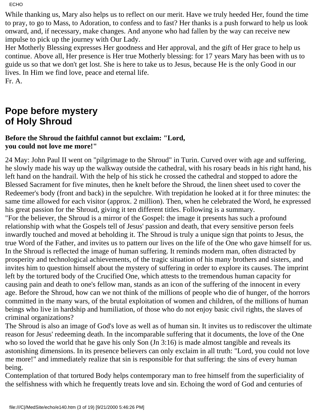While thanking us, Mary also helps us to reflect on our merit. Have we truly heeded Her, found the time to pray, to go to Mass, to Adoration, to confess and to fast? Her thanks is a push forward to help us look onward, and, if necessary, make changes. And anyone who had fallen by the way can receive new impulse to pick up the journey with Our Lady.

Her Motherly Blessing expresses Her goodness and Her approval, and the gift of Her grace to help us continue. Above all, Her presence is Her true Motherly blessing: for 17 years Mary has been with us to guide us so that we don't get lost. She is here to take us to Jesus, because He is the only Good in our lives. In Him we find love, peace and eternal life. Fr. A.

**Pope before mystery of Holy Shroud**

#### **Before the Shroud the faithful cannot but exclaim: "Lord, you could not love me more!"**

24 May: John Paul II went on "pilgrimage to the Shroud" in Turin. Curved over with age and suffering, he slowly made his way up the walkway outside the cathedral, with his rosary beads in his right hand, his left hand on the handrail. With the help of his stick he crossed the cathedral and stopped to adore the Blessed Sacrament for five minutes, then he knelt before the Shroud, the linen sheet used to cover the Redeemer's body (front and back) in the sepulchre. With trepidation he looked at it for three minutes: the same time allowed for each visitor (approx. 2 million). Then, when he celebrated the Word, he expressed his great passion for the Shroud, giving it ten different titles. Following is a summary. "For the believer, the Shroud is a mirror of the Gospel: the image it presents has such a profound relationship with what the Gospels tell of Jesus' passion and death, that every sensitive person feels inwardly touched and moved at beholding it. The Shroud is truly a unique sign that points to Jesus, the true Word of the Father, and invites us to pattern our lives on the life of the One who gave himself for us. In the Shroud is reflected the image of human suffering. It reminds modern man, often distracted by prosperity and technological achievements, of the tragic situation of his many brothers and sisters, and invites him to question himself about the mystery of suffering in order to explore its causes. The imprint left by the tortured body of the Crucified One, which attests to the tremendous human capacity for causing pain and death to one's fellow man, stands as an icon of the suffering of the innocent in every age. Before the Shroud, how can we not think of the millions of people who die of hunger, of the horrors committed in the many wars, of the brutal exploitation of women and children, of the millions of human beings who live in hardship and humiliation, of those who do not enjoy basic civil rights, the slaves of criminal organizations?

The Shroud is also an image of God's love as well as of human sin. It invites us to rediscover the ultimate reason for Jesus' redeeming death. In the incomparable suffering that it documents, the love of the One who so loved the world that he gave his only Son (Jn 3:16) is made almost tangible and reveals its astonishing dimensions. In its presence believers can only exclaim in all truth: "Lord, you could not love me more!" and immediately realize that sin is responsible for that suffering: the sins of every human being.

Contemplation of that tortured Body helps contemporary man to free himself from the superficiality of the selfishness with which he frequently treats love and sin. Echoing the word of God and centuries of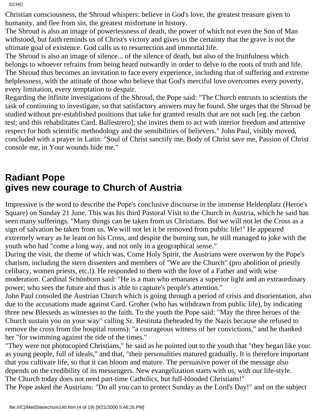Christian consciousness, the Shroud whispers: believe in God's love, the greatest treasure given to humanity, and flee from sin, the greatest misfortune in history.

The Shroud is also an image of powerlessness of death, the power of which not even the Son of Man withstood, but faith reminds us of Christ's victory and gives us the certainty that the grave is not the ultimate goal of existence. God calls us to resurrection and immortal life.

The Shroud is also an image of silence... of the silence of death, but also of the fruitfulness which belongs to whoever refrains from being heard outwardly in order to delve to the roots of truth and life. The Shroud thus becomes an invitation to face every experience, including that of suffering and extreme helplessness, with the attitude of those who believe that God's merciful love overcomes every poverty, every limitation, every temptation to despair.

Regarding the infinite investigations of the Shroud, the Pope said: "The Church entrusts to scientists the task of continuing to investigate, so that satisfactory answers may be found. She urges that the Shroud be studied without pre-established positions that take for granted results that are not such [eg. the carbon test; and this rehabilitates Card. Ballestrero]; she invites them to act with interior freedom and attentive respect for both scientific methodology and the sensibilities of believers." John Paul, visibly moved, concluded with a prayer in Latin: "Soul of Christ sanctify me, Body of Christ save me, Passion of Christ console me, in Your wounds hide me."

### **Radiant Pope gives new courage to Church of Austria**

Impressive is the word to describe the Pope's conclusive discourse in the immense Heldenplatz (Heroe's Square) on Sunday 21 June. This was his third Pastoral Visit to the Church in Austria, which he said has seen many sufferings. "Many things can be taken from us Christians. But we will not let the Cross as a sign of salvation be taken from us. We will not let it be removed from public life!" He appeared extremely weary as he leant on his Cross, and despite the burning sun, he still managed to joke with the youth who had "come a long way, and not only in a geographical sense."

During the visit, the theme of which was, Come Holy Spirit, the Austrians were overwon by the Pope's charism, including the stern dissenters and members of "We are the Church" (pro abolition of priestly celibacy, women priests, etc.!). He responded to them with the love of a Father and with wise moderation. Cardinal Schönborn said: "He is a man who emanates a superior light and an extraordinary power; who sees the future and thus is able to capture's people's attention."

John Paul consoled the Austrian Church which is going through a period of crisis and disorientation, also due to the accusations made against Card. Groher (who has withdrawn from public life), by indicating three new Blesseds as witnesses to the faith. To the youth the Pope said: "May the three heroes of the Church sustain you on your way" calling Sr. Restituta (beheaded by the Nazis because she refused to remove the cross from the hospital rooms): "a courageous witness of her convictions," and he thanked her "for swimming against the tide of the times."

"They were not photocopied Christians," he said as he pointed out to the youth that "they began like you: as young people, full of ideals," and that, "their personalities matured gradually. It is therefore important that you cultivate life, so that it can bloom and mature. The persuasive power of the message also depends on the credibility of its messengers. New evangelization starts with us, with our life-style. The Church today does not need part-time Catholics, but full-blooded Christians!"

The Pope asked the Austrians: "Do all you can to protect Sunday as the Lord's Day!" and on the subject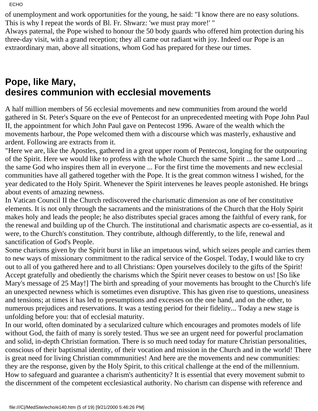of unemployment and work opportunities for the young, he said: "I know there are no easy solutions. This is why I repeat the words of Bl. Fr. Shwarz: 'we must pray more!' "

Always paternal, the Pope wished to honour the 50 body guards who offered him protection during his three-day visit, with a grand reception; they all came out radiant with joy. Indeed our Pope is an extraordinary man, above all situations, whom God has prepared for these our times.

### **Pope, like Mary, desires communion with ecclesial movements**

A half million members of 56 ecclesial movements and new communities from around the world gathered in St. Peter's Square on the eve of Pentecost for an unprecedented meeting with Pope John Paul II, the appointment for which John Paul gave on Pentecost 1996. Aware of the wealth which the movements harbour, the Pope welcomed them with a discourse which was masterly, exhaustive and ardent. Following are extracts from it.

"Here we are, like the Apostles, gathered in a great upper room of Pentecost, longing for the outpouring of the Spirit. Here we would like to profess with the whole Church the same Spirit ... the same Lord ... the same God who inspires them all in everyone ... For the first time the movements and new ecclesial communities have all gathered together with the Pope. It is the great common witness I wished, for the year dedicated to the Holy Spirit. Whenever the Spirit intervenes he leaves people astonished. He brings about events of amazing newness.

In Vatican Council II the Church rediscovered the charismatic dimension as one of her constitutive elements. It is not only through the sacraments and the ministrations of the Church that the Holy Spirit makes holy and leads the people; he also distributes special graces among the faithful of every rank, for the renewal and building up of the Church. The institutional and charismatic aspects are co-essential, as it were, to the Church's constitution. They contribute, although differently, to the life, renewal and sanctification of God's People.

Some charisms given by the Spirit burst in like an impetuous wind, which seizes people and carries them to new ways of missionary commitment to the radical service of the Gospel. Today, I would like to cry out to all of you gathered here and to all Christians: Open yourselves docilely to the gifts of the Spirit! Accept gratefully and obediently the charisms which the Spirit never ceases to bestow on us! [So like Mary's message of 25 May!] The birth and spreading of your movements has brought to the Church's life an unexpected newness which is sometimes even disruptive. This has given rise to questions, uneasiness and tensions; at times it has led to presumptions and excesses on the one hand, and on the other, to numerous prejudices and reservations. It was a testing period for their fidelity... Today a new stage is unfolding before you: that of ecclesial maturity.

In our world, often dominated by a secularized culture which encourages and promotes models of life without God, the faith of many is sorely tested. Thus we see an urgent need for powerful proclamation and solid, in-depth Christian formation. There is so much need today for mature Christian personalities, conscious of their baptismal identity, of their vocation and mission in the Church and in the world! There is great need for living Christian commmunities! And here are the movements and new communities: they are the response, given by the Holy Spirit, to this critical challenge at the end of the millennium. How to safeguard and guarantee a charism's authenticity? It is essential that every movement submit to the discernment of the competent ecclesiastical authority. No charism can dispense with reference and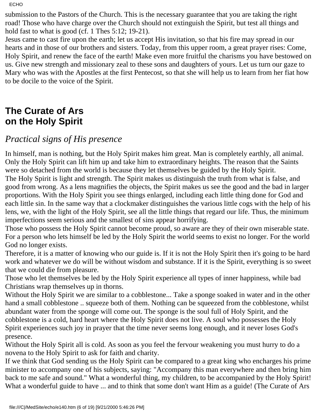submission to the Pastors of the Church. This is the necessary guarantee that you are taking the right road! Those who have charge over the Church should not extinguish the Spirit, but test all things and hold fast to what is good (cf. 1 Thes 5:12; 19-21).

Jesus came to cast fire upon the earth; let us accept His invitation, so that his fire may spread in our hearts and in those of our brothers and sisters. Today, from this upper room, a great prayer rises: Come, Holy Spirit, and renew the face of the earth! Make even more fruitful the charisms you have bestowed on us. Give new strength and missionary zeal to these sons and daughters of yours. Let us turn our gaze to Mary who was with the Apostles at the first Pentecost, so that she will help us to learn from her fiat how to be docile to the voice of the Spirit.

### **The Curate of Ars on the Holy Spirit**

### *Practical signs of His presence*

In himself, man is nothing, but the Holy Spirit makes him great. Man is completely earthly, all animal. Only the Holy Spirit can lift him up and take him to extraordinary heights. The reason that the Saints were so detached from the world is because they let themselves be guided by the Holy Spirit. The Holy Spirit is light and strength. The Spirit makes us distinguish the truth from what is false, and good from wrong. As a lens magnifies the objects, the Spirit makes us see the good and the bad in larger proportions. With the Holy Spirit you see things enlarged, including each little thing done for God and each little sin. In the same way that a clockmaker distinguishes the various little cogs with the help of his lens, we, with the light of the Holy Spirit, see all the little things that regard our life. Thus, the minimum imperfections seem serious and the smallest of sins appear horrifying.

Those who possess the Holy Spirit cannot become proud, so aware are they of their own miserable state. For a person who lets himself be led by the Holy Spirit the world seems to exist no longer. For the world God no longer exists.

Therefore, it is a matter of knowing who our guide is. If it is not the Holy Spirit then it's going to be hard work and whatever we do will be without wisdom and substance. If it is the Spirit, everything is so sweet that we could die from pleasure.

Those who let themselves be led by the Holy Spirit experience all types of inner happiness, while bad Christians wrap themselves up in thorns.

Without the Holy Spirit we are similar to a cobblestone... Take a sponge soaked in water and in the other hand a small cobblestone .. squeeze both of them. Nothing can be squeezed from the cobblestone, whilst abundant water from the sponge will come out. The sponge is the soul full of Holy Spirit, and the cobblestone is a cold, hard heart where the Holy Spirit does not live. A soul who possesses the Holy Spirit experiences such joy in prayer that the time never seems long enough, and it never loses God's presence.

Without the Holy Spirit all is cold. As soon as you feel the fervour weakening you must hurry to do a novena to the Holy Spirit to ask for faith and charity.

If we think that God sending us the Holy Spirit can be compared to a great king who encharges his prime minister to accompany one of his subjects, saying: "Accompany this man everywhere and then bring him back to me safe and sound." What a wonderful thing, my children, to be accompanied by the Holy Spirit! What a wonderful guide to have ... and to think that some don't want Him as a guide! (The Curate of Ars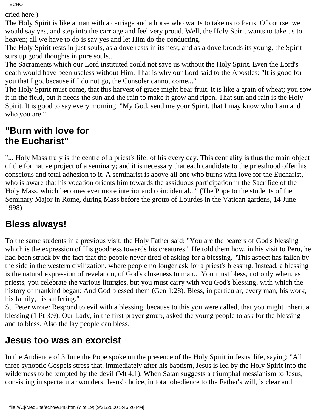cried here.)

The Holy Spirit is like a man with a carriage and a horse who wants to take us to Paris. Of course, we would say yes, and step into the carriage and feel very proud. Well, the Holy Spirit wants to take us to heaven; all we have to do is say yes and let Him do the conducting.

The Holy Spirit rests in just souls, as a dove rests in its nest; and as a dove broods its young, the Spirit stirs up good thoughts in pure souls...

The Sacraments which our Lord instituted could not save us without the Holy Spirit. Even the Lord's death would have been useless without Him. That is why our Lord said to the Apostles: "It is good for you that I go, because if I do not go, the Consoler cannot come..."

The Holy Spirit must come, that this harvest of grace might bear fruit. It is like a grain of wheat; you sow it in the field, but it needs the sun and the rain to make it grow and ripen. That sun and rain is the Holy Spirit. It is good to say every morning: "My God, send me your Spirit, that I may know who I am and who you are."

### **"Burn with love for the Eucharist"**

"... Holy Mass truly is the centre of a priest's life; of his every day. This centrality is thus the main object of the formative project of a seminary; and it is necessary that each candidate to the priesthood offer his conscious and total adhesion to it. A seminarist is above all one who burns with love for the Eucharist, who is aware that his vocation orients him towards the assiduous participation in the Sacrifice of the Holy Mass, which becomes ever more interior and coincidental..." (The Pope to the students of the Seminary Major in Rome, during Mass before the grotto of Lourdes in the Vatican gardens, 14 June 1998)

### **Bless always!**

To the same students in a previous visit, the Holy Father said: "You are the bearers of God's blessing which is the expression of His goodness towards his creatures." He told them how, in his visit to Peru, he had been struck by the fact that the people never tired of asking for a blessing. "This aspect has fallen by the side in the western civilization, where people no longer ask for a priest's blessing. Instead, a blessing is the natural expression of revelation, of God's closeness to man... You must bless, not only when, as priests, you celebrate the various liturgies, but you must carry with you God's blessing, with which the history of mankind began: And God blessed them (Gen 1:28). Bless, in particular, every man, his work, his family, his suffering."

St. Peter wrote: Respond to evil with a blessing, because to this you were called, that you might inherit a blessing (1 Pt 3:9). Our Lady, in the first prayer group, asked the young people to ask for the blessing and to bless. Also the lay people can bless.

### **Jesus too was an exorcist**

In the Audience of 3 June the Pope spoke on the presence of the Holy Spirit in Jesus' life, saying: "All three synoptic Gospels stress that, immediately after his baptism, Jesus is led by the Holy Spirit into the wilderness to be tempted by the devil (Mt 4:1). When Satan suggests a triumphal messianism to Jesus, consisting in spectacular wonders, Jesus' choice, in total obedience to the Father's will, is clear and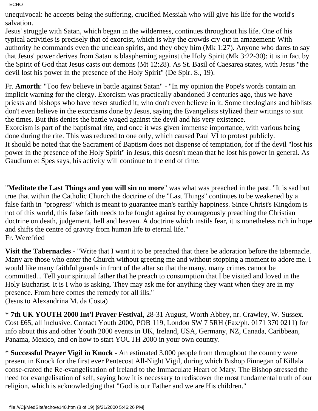unequivocal: he accepts being the suffering, crucified Messiah who will give his life for the world's salvation.

Jesus' struggle with Satan, which began in the wilderness, continues throughout his life. One of his typical activities is precisely that of exorcist, which is why the crowds cry out in amazement: With authority he commands even the unclean spirits, and they obey him (Mk 1:27). Anyone who dares to say that Jesus' power derives from Satan is blaspheming against the Holy Spirit (Mk 3:22-30): it is in fact by the Spirit of God that Jesus casts out demons (Mt 12:28). As St. Basil of Caesarea states, with Jesus "the devil lost his power in the presence of the Holy Spirit" (De Spir. S., 19).

Fr. **Amorth**: "Too few believe in battle against Satan" - "In my opinion the Pope's words contain an implicit warning for the clergy. Exorcism was practically abandoned 3 centuries ago, thus we have priests and bishops who have never studied it; who don't even believe in it. Some theologians and biblists don't even believe in the exorcisms done by Jesus, saying the Evangelists stylized their writings to suit the times. But this denies the battle waged against the devil and his very existence. Exorcism is part of the baptismal rite, and once it was given immense importance, with various being done during the rite. This was reduced to one only, which caused Paul VI to protest publicly. It should be noted that the Sacrament of Baptism does not dispense of temptation, for if the devil "lost his power in the presence of the Holy Spirit" in Jesus, this doesn't mean that he lost his power in general. As Gaudium et Spes says, his activity will continue to the end of time.

"**Meditate the Last Things and you will sin no more**" was what was preached in the past. "It is sad but true that within the Catholic Church the doctrine of the "Last Things" continues to be weakened by a false faith in "progress" which is meant to guarantee man's earthly happiness. Since Christ's Kingdom is not of this world, this false faith needs to be fought against by courageously preaching the Christian doctrine on death, judgement, hell and heaven. A doctrine which instils fear, it is nonetheless rich in hope and shifts the centre of gravity from human life to eternal life." Fr. Werefried

**Visit the Tabernacles** - "Write that I want it to be preached that there be adoration before the tabernacle. Many are those who enter the Church without greeting me and without stopping a moment to adore me. I would like many faithful guards in front of the altar so that the many, many crimes cannot be committed... Tell your spiritual father that he preach to consumption that I be visited and loved in the Holy Eucharist. It is I who is asking. They may ask me for anything they want when they are in my presence. From here comes the remedy for all ills." (Jesus to Alexandrina M. da Costa)

\* **7th UK YOUTH 2000 Int'l Prayer Festival**, 28-31 August, Worth Abbey, nr. Crawley, W. Sussex. Cost £65, all inclusive. Contact Youth 2000, POB 119, London SW 7 5RH (Fax/ph. 0171 370 0211) for info about this and other Youth 2000 events in UK, Ireland, USA, Germany, NZ, Canada, Caribbean, Panama, Mexico, and on how to start YOUTH 2000 in your own country.

\* **Successful Prayer Vigil in Knock** - An estimated 3,000 people from throughout the country were present in Knock for the first ever Pentecost All-Night Vigil, during which Bishop Finnegan of Killala conse-crated the Re-evangelisation of Ireland to the Immaculate Heart of Mary. The Bishop stressed the need for evangelisation of self, saying how it is necessary to rediscover the most fundamental truth of our religion, which is acknowledging that "God is our Father and we are His children."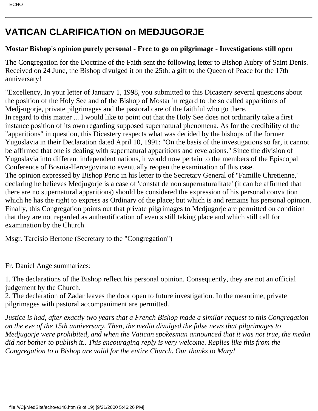## **VATICAN CLARIFICATION on MEDJUGORJE**

### **Mostar Bishop's opinion purely personal - Free to go on pilgrimage - Investigations still open**

The Congregation for the Doctrine of the Faith sent the following letter to Bishop Aubry of Saint Denis. Received on 24 June, the Bishop divulged it on the 25th: a gift to the Queen of Peace for the 17th anniversary!

"Excellency, In your letter of January 1, 1998, you submitted to this Dicastery several questions about the position of the Holy See and of the Bishop of Mostar in regard to the so called apparitions of Medj-ugorje, private pilgrimages and the pastoral care of the faithful who go there. In regard to this matter ... I would like to point out that the Holy See does not ordinarily take a first instance position of its own regarding supposed supernatural phenomena. As for the credibility of the "apparitions" in question, this Dicastery respects what was decided by the bishops of the former Yugoslavia in their Declaration dated April 10, 1991: "On the basis of the investigations so far, it cannot be affirmed that one is dealing with supernatural apparitions and revelations." Since the division of Yugoslavia into different independent nations, it would now pertain to the members of the Episcopal Conference of Bosnia-Hercegovina to eventually reopen the examination of this case.. The opinion expressed by Bishop Peric in his letter to the Secretary General of "Famille Chretienne,' declaring he believes Medjugorje is a case of 'constat de non supernaturalitate' (it can be affirmed that there are no supernatural apparitions) should be considered the expression of his personal conviction which he has the right to express as Ordinary of the place; but which is and remains his personal opinion. Finally, this Congregation points out that private pilgrimages to Medjugorje are permitted on condition that they are not regarded as authentification of events still taking place and which still call for examination by the Church.

Msgr. Tarcisio Bertone (Secretary to the "Congregation")

Fr. Daniel Ange summarizes:

1. The declarations of the Bishop reflect his personal opinion. Consequently, they are not an official judgement by the Church.

2. The declaration of Zadar leaves the door open to future investigation. In the meantime, private pilgrimages with pastoral accompaniment are permitted.

*Justice is had, after exactly two years that a French Bishop made a similar request to this Congregation on the eve of the 15th anniversary. Then, the media divulged the false news that pilgrimages to Medjugorje were prohibited, and when the Vatican spokesman announced that it was not true, the media did not bother to publish it.. This encouraging reply is very welcome. Replies like this from the Congregation to a Bishop are valid for the entire Church. Our thanks to Mary!*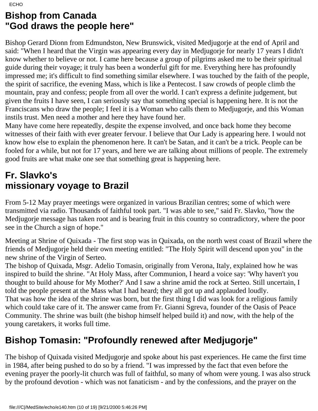### **Bishop from Canada "God draws the people here"**

Bishop Gerard Dionn from Edmundston, New Brunswick, visited Medjugorje at the end of April and said: "When I heard that the Virgin was appearing every day in Medjugorje for nearly 17 years I didn't know whether to believe or not. I came here because a group of pilgrims asked me to be their spiritual guide during their voyage; it truly has been a wonderful gift for me. Everything here has profoundly impressed me; it's difficult to find something similar elsewhere. I was touched by the faith of the people, the spirit of sacrifice, the evening Mass, which is like a Pentecost. I saw crowds of people climb the mountain, pray and confess; people from all over the world. I can't express a definite judgement, but given the fruits I have seen, I can seriously say that something special is happening here. It is not the Franciscans who draw the people; I feel it is a Woman who calls them to Medjugorje, and this Woman instils trust. Men need a mother and here they have found her.

Many have come here repeatedly, despite the expense involved, and once back home they become witnesses of their faith with ever greater fervour. I believe that Our Lady is appearing here. I would not know how else to explain the phenomenon here. It can't be Satan, and it can't be a trick. People can be fooled for a while, but not for 17 years, and here we are talking about millions of people. The extremely good fruits are what make one see that something great is happening here.

### **Fr. Slavko's missionary voyage to Brazil**

From 5-12 May prayer meetings were organized in various Brazilian centres; some of which were transmitted via radio. Thousands of faithful took part. "I was able to see," said Fr. Slavko, "how the Medjugorje message has taken root and is bearing fruit in this country so contradictory, where the poor see in the Church a sign of hope."

Meeting at Shrine of Quixada - The first stop was in Quixada, on the north west coast of Brazil where the friends of Medjugorje held their own meeting entitled: "The Holy Spirit will descend upon you" in the new shrine of the Virgin of Serteo.

The bishop of Quixada, Msgr. Adelio Tomasin, originally from Verona, Italy, explained how he was inspired to build the shrine. "At Holy Mass, after Communion, I heard a voice say: 'Why haven't you thought to build ahouse for My Mother?' And I saw a shrine amid the rock at Serteo. Still uncertain, I told the people present at the Mass what I had heard; they all got up and applauded loudly. That was how the idea of the shrine was born, but the first thing I did was look for a religious family which could take care of it. The answer came from Fr. Gianni Sgreva, founder of the Oasis of Peace Community. The shrine was built (the bishop himself helped build it) and now, with the help of the young caretakers, it works full time.

## **Bishop Tomasin: "Profoundly renewed after Medjugorje"**

The bishop of Quixada visited Medjugorje and spoke about his past experiences. He came the first time in 1984, after being pushed to do so by a friend. "I was impressed by the fact that even before the evening prayer the poorly-lit church was full of faithful, so many of whom were young. I was also struck by the profound devotion - which was not fanaticism - and by the confessions, and the prayer on the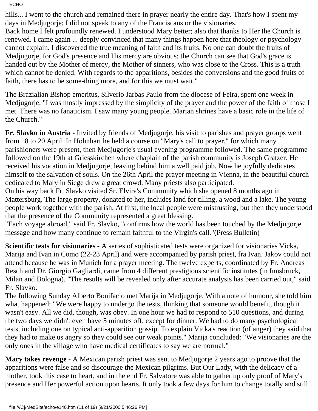hills... I went to the church and remained there in prayer nearly the entire day. That's how I spent my days in Medjugorje; I did not speak to any of the Franciscans or the visionaries.

Back home I felt profoundly renewed. I understood Mary better; also that thanks to Her the Church is renewed. I came again ... deeply convinced that many things happen here that theology or psychology cannot explain. I discovered the true meaning of faith and its fruits. No one can doubt the fruits of Medjugorje, for God's presence and His mercy are obvious; the Church can see that God's grace is handed out by the Mother of mercy, the Mother of sinners, who was close to the Cross. This is a truth which cannot be denied. With regards to the apparitions, besides the conversions and the good fruits of faith, there has to be some-thing more, and for this we must wait."

The Brazialian Bishop emeritus, Silverio Jarbas Paulo from the diocese of Feira, spent one week in Medjugorje. "I was mostly impressed by the simplicity of the prayer and the power of the faith of those I met. There was no fanaticism. I saw many young people. Marian shrines have a basic role in the life of the Church."

**Fr. Slavko in Austria** - Invited by friends of Medjugorje, his visit to parishes and prayer groups went from 18 to 20 April. In Hohnhart he held a course on "Mary's call to prayer," for which many parishioners were present, then Medjugorje's usual evening programme followed. The same programme followed on the 19th at Griesskirchen where chaplain of the parish community is Joseph Gratzer. He received his vocation in Medjugorje, leaving behind him a well paid job. Now he joyfully dedicates himself to the salvation of souls. On the 26th April the prayer meeting in Vienna, in the beautiful church dedicated to Mary in Siege drew a great crowd. Many priests also participated.

On his way back Fr. Slavko visited Sr. Elvira's Community which she opened 8 months ago in Mattersburg. The large property, donated to her, includes land for tilling, a wood and a lake. The young people work together with the parish. At first, the local people were mistrusting, but then they understood that the presence of the Community represented a great blessing.

"Each voyage abroad," said Fr. Slavko, "confirms how the world has been touched by the Medjugorje message and how many continue to remain faithful to the Virgin's call."(Press Bulletin)

**Scientific tests for visionaries** - A series of sophisticated tests were organized for visionaries Vicka, Marija and Ivan in Como (22-23 April) and were accompanied by parish priest, fra Ivan. Jakov could not attend because he was in Munich for a prayer meeting. The twelve experts, coordinated by Fr. Andreas Resch and Dr. Giorgio Gagliardi, came from 4 different prestigious scientific institutes (in Innsbruck, Milan and Bologna). "The results will be revealed only after accurate analysis has been carried out," said Fr. Slavko.

The following Sunday Alberto Bonifacio met Marija in Medjugorje. With a note of humour, she told him what happened: "We were happy to undergo the tests, thinking that someone would benefit, though it wasn't easy. All we did, though, was obey. In one hour we had to respond to 510 questions, and during the two days we didn't even have 5 minutes off, except for dinner. We had to do many psychological tests, including one on typical anti-apparition gossip. To explain Vicka's reaction (of anger) they said that they had to make us angry so they could see our weak points." Marija concluded: "We visionaries are the only ones in the village who have medical certificates to say we are normal."

**Mary takes revenge** - A Mexican parish priest was sent to Medjugorje 2 years ago to proove that the apparitions were false and so discourage the Mexican pilgrims. But Our Lady, with the delicacy of a mother, took this case to heart, and in the end Fr. Salvatore was able to gather up only proof of Mary's presence and Her powerful action upon hearts. It only took a few days for him to change totally and still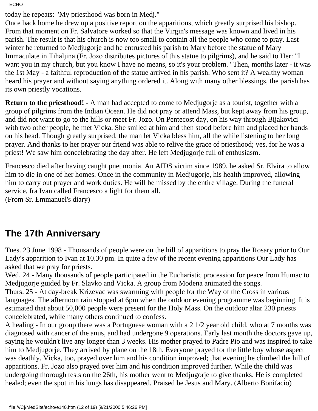today he repeats: "My priesthood was born in Medj."

Once back home he drew up a positive report on the apparitions, which greatly surprised his bishop. From that moment on Fr. Salvatore worked so that the Virgin's message was known and lived in his parish. The result is that his church is now too small to contain all the people who come to pray. Last winter he returned to Medjugorje and he entrusted his parish to Mary before the statue of Mary Immaculate in Tihaljina (Fr. Jozo distributes pictures of this statue to pilgrims), and he said to Her: "I want you in my church, but you know I have no means, so it's your problem." Then, months later - it was the 1st May - a faithful reproduction of the statue arrived in his parish. Who sent it? A wealthy woman heard his prayer and without saying anything ordered it. Along with many other blessings, the parish has its own priestly vocations.

**Return to the priesthood!** - A man had accepted to come to Medjugorje as a tourist, together with a group of pilgrims from the Indian Ocean. He did not pray or attend Mass, but kept away from his group, and did not want to go to the hills or meet Fr. Jozo. On Pentecost day, on his way through Bijakovici with two other people, he met Vicka. She smiled at him and then stood before him and placed her hands on his head. Though greatly surprised, the man let Vicka bless him, all the while listening to her long prayer. And thanks to her prayer our friend was able to relive the grace of priesthood; yes, for he was a priest! We saw him concelebrating the day after. He left Medjugorje full of enthusiasm.

Francesco died after having caught pneumonia. An AIDS victim since 1989, he asked Sr. Elvira to allow him to die in one of her homes. Once in the community in Medjugorje, his health improved, allowing him to carry out prayer and work duties. He will be missed by the entire village. During the funeral service, fra Ivan called Francesco a light for them all. (From Sr. Emmanuel's diary)

### **The 17th Anniversary**

Tues. 23 June 1998 - Thousands of people were on the hill of apparitions to pray the Rosary prior to Our Lady's apparition to Ivan at 10.30 pm. In quite a few of the recent evening apparitions Our Lady has asked that we pray for priests.

Wed. 24 - Many thousands of people participated in the Eucharistic procession for peace from Humac to Medjugorje guided by Fr. Slavko and Vicka. A group from Modena animated the songs.

Thurs. 25 - At day-break Krizevac was swarming with people for the Way of the Cross in various languages. The afternoon rain stopped at 6pm when the outdoor evening programme was beginning. It is estimated that about 50,000 people were present for the Holy Mass. On the outdoor altar 230 priests concelebrated, while many others continued to confess.

A healing - In our group there was a Portuguese woman with a 2 1/2 year old child, who at 7 months was diagnosed with cancer of the anus, and had undergone 9 operations. Early last month the doctors gave up, saying he wouldn't live any longer than 3 weeks. His mother prayed to Padre Pio and was inspired to take him to Medjugorje. They arrived by plane on the 18th. Everyone prayed for the little boy whose aspect was deathly. Vicka, too, prayed over him and his condition improved; that evening he climbed the hill of apparitions. Fr. Jozo also prayed over him and his condition improved further. While the child was undergoing thorough tests on the 26th, his mother went to Medjugorje to give thanks. He is completed healed; even the spot in his lungs has disappeared. Praised be Jesus and Mary. (Alberto Bonifacio)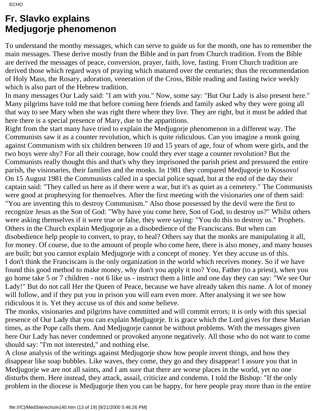### **Fr. Slavko explains Medjugorje phenomenon**

To understand the monthy messages, which can serve to guide us for the month, one has to remember the main messages. These derive mostly from the Bible and in part from Church tradition. From the Bible are derived the messages of peace, conversion, prayer, faith, love, fasting. From Church tradition are derived those which regard ways of praying which matured over the centuries; thus the recommendation of Holy Mass, the Rosary, adoration, veneration of the Cross, Bible reading and fasting twice weekly which is also part of the Hebrew tradition.

In many messages Our Lady said: "I am with you." Now, some say: "But Our Lady is also present here." Many pilgrims have told me that before coming here friends and family asked why they were going all that way to see Mary when she was right there where they live. They are right, but it must be added that here there is a special presence of Mary, due to the apparitions.

Right from the start many have tried to explain the Medjugorje phenomenon in a different way. The Communists saw it as a counter revolution, which is quite ridiculous. Can you imagine a monk going against Communism with six children between 10 and 15 years of age, four of whom were girls, and the two boys were shy? For all their courage, how could they ever stage a counter revolution? But the Communists really thought this and that's why they imprisoned the parish priest and pressured the entire parish, the visionaries, their families and the monks. In 1981 they compared Medjugorje to Kossovo! On 15 August 1981 the Communists called in a special police squad, but at the end of the day their captain said: "They called us here as if there were a war, but it's as quiet as a cemetery." The Communists were good at prophesying for themselves. After the first meeting with the visionaries one of them said: "You are inventing this to destroy Communism." Also those possessed by the devil were the first to recognize Jesus as the Son of God: "Why have you come here, Son of God, to destroy us?" Whilst others were asking themselves if it were true or false, they were saying: "You do this to destroy us." Prophets. Others in the Church explain Medjugorje as a disobedience of the Franciscans. But when can disobedience help people to convert, to pray, to heal? Others say that the monks are manipulating it all, for money. Of course, due to the amount of people who come here, there is also money, and many houses are built; but you cannot explain Medjugorje with a concept of money. Yet they accuse us of this. I don't think the Franciscans is the only organization in the world which receives money. So if we have found this good method to make money, why don't you apply it too? You, Father (to a priest), when you go home take 5 or 7 children - not 6 like us - instruct them a little and one day they can say: "We see Our Lady!" But do not call Her the Queen of Peace, because we have already taken this name. A lot of money will follow, and if they put you in prison you will earn even more. After analysing it we see how ridiculous it is. Yet they accuse us of this and some believe.

The monks, visionaries and pilgrims have committed and will commit errors; it is only with this special presence of Our Lady that you can explain Medjugorje. It is grace which the Lord gives for these Marian times, as the Pope calls them. And Medjugorje cannot be without problems. With the messages given here Our Lady has never condemned or provoked anyone negatively. All those who do not want to come should say: "I'm not interested," and nothing else.

A close analysis of the writings against Medjugorje show how people invent things, and how they disappear like soap bubbles. Like waves, they come, they go and they disappear! I assure you that in Medjugorje we are not all saints, and I am sure that there are worse places in the world, yet no one disturbs them. Here instead, they attack, assail, criticize and condemn. I told the Bishop: "If the only problem in the diocese is Medjugorje then you can be happy, for here people pray more than in the entire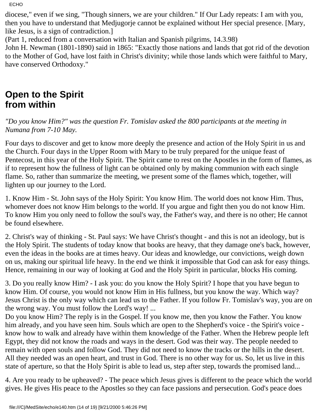diocese," even if we sing, "Though sinners, we are your children." If Our Lady repeats: I am with you, then you have to understand that Medjugorje cannot be explained without Her special presence. [Mary, like Jesus, is a sign of contradiction.]

(Part 1, reduced from a conversation with Italian and Spanish pilgrims, 14.3.98)

John H. Newman (1801-1890) said in 1865: "Exactly those nations and lands that got rid of the devotion to the Mother of God, have lost faith in Christ's divinity; while those lands which were faithful to Mary, have conserved Orthodoxy."

### **Open to the Spirit from within**

*"Do you know Him?" was the question Fr. Tomislav asked the 800 participants at the meeting in Numana from 7-10 May.*

Four days to discover and get to know more deeply the presence and action of the Holy Spirit in us and the Church. Four days in the Upper Room with Mary to be truly prepared for the unique feast of Pentecost, in this year of the Holy Spirit. The Spirit came to rest on the Apostles in the form of flames, as if to represent how the fullness of light can be obtained only by making communion with each single flame. So, rather than summarize the meeting, we present some of the flames which, together, will lighten up our journey to the Lord.

1. Know Him - St. John says of the Holy Spirit: You know Him. The world does not know Him. Thus, whomever does not know Him belongs to the world. If you argue and fight then you do not know Him. To know Him you only need to follow the soul's way, the Father's way, and there is no other; He cannot be found elsewhere.

2. Christ's way of thinking - St. Paul says: We have Christ's thought - and this is not an ideology, but is the Holy Spirit. The students of today know that books are heavy, that they damage one's back, however, even the ideas in the books are at times heavy. Our ideas and knowledge, our convictions, weigh down on us, making our spiritual life heavy. In the end we think it impossible that God can ask for easy things. Hence, remaining in our way of looking at God and the Holy Spirit in particular, blocks His coming.

3. Do you really know Him? - I ask you: do you know the Holy Spirit? I hope that you have begun to know Him. Of course, you would not know Him in His fullness, but you know the way. Which way? Jesus Christ is the only way which can lead us to the Father. If you follow Fr. Tomislav's way, you are on the wrong way. You must follow the Lord's way! ...

Do you know Him? The reply is in the Gospel. If you know me, then you know the Father. You know him already, and you have seen him. Souls which are open to the Shepherd's voice - the Spirit's voice know how to walk and already have within them knowledge of the Father. When the Hebrew people left Egypt, they did not know the roads and ways in the desert. God was their way. The people needed to remain with open souls and follow God. They did not need to know the tracks or the hills in the desert. All they needed was an open heart, and trust in God. There is no other way for us. So, let us live in this state of aperture, so that the Holy Spirit is able to lead us, step after step, towards the promised land...

4. Are you ready to be upheaved? - The peace which Jesus gives is different to the peace which the world gives. He gives His peace to the Apostles so they can face passions and persecution. God's peace does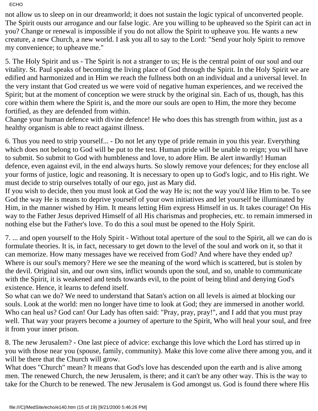not allow us to sleep on in our dreamworld; it does not sustain the logic typical of unconverted people. The Spirit ousts our arrogance and our false logic. Are you willing to be upheaved so the Spirit can act in you? Change or renewal is impossible if you do not allow the Spirit to upheave you. He wants a new creature, a new Church, a new world. I ask you all to say to the Lord: "Send your holy Spirit to remove my convenience; to upheave me."

5. The Holy Spirit and us - The Spirit is not a stranger to us; He is the central point of our soul and our vitality. St. Paul speaks of becoming the living place of God through the Spirit. In the Holy Spirit we are edified and harmonized and in Him we reach the fullness both on an individual and a universal level. In the very instant that God created us we were void of negative human experiences, and we received the Spirit; but at the moment of conception we were struck by the original sin. Each of us, though, has this core within them where the Spirit is, and the more our souls are open to Him, the more they become fortified, as they are defended from within.

Change your human defence with divine defence! He who does this has strength from within, just as a healthy organism is able to react against illness.

6. Thus you need to strip yourself... - Do not let any type of pride remain in you this year. Everything which does not belong to God will be put to the test. Human pride will be unable to reign; you will have to submit. So submit to God with humbleness and love, to adore Him. Be alert inwardly! Human defence, even against evil, in the end always hurts. So slowly remove your defences; for they enclose all your forms of justice, logic and reasoning. It is necessary to open up to God's logic, and to His right. We must decide to strip ourselves totally of our ego, just as Mary did.

If you wish to decide, then you must look at God the way He is; not the way you'd like Him to be. To see God the way He is means to deprive yourself of your own initiatives and let yourself be illuminated by Him, in the manner wished by Him. It means letting Him express Himself in us. It takes courage! On His way to the Father Jesus deprived Himself of all His charismas and prophecies, etc. to remain immersed in nothing else but the Father's love. To do this a soul must be opened to the Holy Spirit.

7. ... and open yourself to the Holy Spirit - Without total aperture of the soul to the Spirit, all we can do is formulate theories. It is, in fact, necessary to get down to the level of the soul and work on it, so that it can memorize. How many messages have we received from God? And where have they ended up? Where is our soul's memory? Here we see the meaning of the word which is scattered, but is stolen by the devil. Original sin, and our own sins, inflict wounds upon the soul, and so, unable to communicate with the Spirit, it is weakened and tends towards evil, to the point of being blind and denying God's existence. Hence, it learns to defend itself.

So what can we do? We need to understand that Satan's action on all levels is aimed at blocking our souls. Look at the world: men no longer have time to look at God; they are immersed in another world. Who can heal us? God can! Our Lady has often said: "Pray, pray, pray!", and I add that you must pray well. That way your prayers become a journey of aperture to the Spirit, Who will heal your soul, and free it from your inner prison.

8. The new Jerusalem? - One last piece of advice: exchange this love which the Lord has stirred up in you with those near you (spouse, family, community). Make this love come alive there among you, and it will be there that the Church will grow.

What does "Church" mean? It means that God's love has descended upon the earth and is alive among men. The renewed Church, the new Jerusalem, is there; and it can't be any other way. This is the way to take for the Church to be renewed. The new Jerusalem is God amongst us. God is found there where His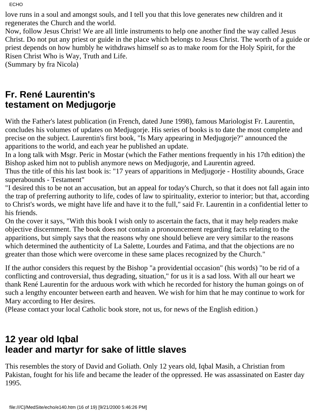love runs in a soul and amongst souls, and I tell you that this love generates new children and it regenerates the Church and the world.

Now, follow Jesus Christ! We are all little instruments to help one another find the way called Jesus Christ. Do not put any priest or guide in the place which belongs to Jesus Christ. The worth of a guide or priest depends on how humbly he withdraws himself so as to make room for the Holy Spirit, for the Risen Christ Who is Way, Truth and Life.

(Summary by fra Nicola)

### **Fr. René Laurentin's testament on Medjugorje**

With the Father's latest publication (in French, dated June 1998), famous Mariologist Fr. Laurentin, concludes his volumes of updates on Medjugorje. His series of books is to date the most complete and precise on the subject. Laurentin's first book, "Is Mary appearing in Medjugorje?" announced the apparitions to the world, and each year he published an update.

In a long talk with Msgr. Peric in Mostar (which the Father mentions frequently in his 17th edition) the Bishop asked him not to publish anymore news on Medjugorje, and Laurentin agreed.

Thus the title of this his last book is: "17 years of apparitions in Medjugorje - Hostility abounds, Grace superabounds - Testament"

"I desired this to be not an accusation, but an appeal for today's Church, so that it does not fall again into the trap of preferring authority to life, codes of law to spirituality, exterior to interior; but that, according to Christ's words, we might have life and have it to the full," said Fr. Laurentin in a confidential letter to his friends.

On the cover it says, "With this book I wish only to ascertain the facts, that it may help readers make objective discernment. The book does not contain a pronouncement regarding facts relating to the apparitions, but simply says that the reasons why one should believe are very similar to the reasons which determined the authenticity of La Salette, Lourdes and Fatima, and that the objections are no greater than those which were overcome in these same places recognized by the Church."

If the author considers this request by the Bishop "a providential occasion" (his words) "to be rid of a conflicting and controversial, thus degrading, situation," for us it is a sad loss. With all our heart we thank René Laurentin for the arduous work with which he recorded for history the human goings on of such a lengthy encounter between earth and heaven. We wish for him that he may continue to work for Mary according to Her desires.

(Please contact your local Catholic book store, not us, for news of the English edition.)

### **12 year old Iqbal leader and martyr for sake of little slaves**

This resembles the story of David and Goliath. Only 12 years old, Iqbal Masih, a Christian from Pakistan, fought for his life and became the leader of the oppressed. He was assassinated on Easter day 1995.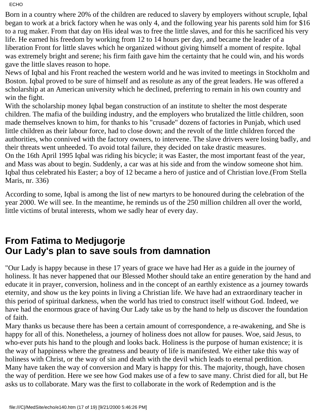Born in a country where 20% of the children are reduced to slavery by employers without scruple, Iqbal began to work at a brick factory when he was only 4, and the following year his parents sold him for \$16 to a rug maker. From that day on His ideal was to free the little slaves, and for this he sacrificed his very life. He earned his freedom by working from 12 to 14 hours per day, and became the leader of a liberation Front for little slaves which he organized without giving himself a moment of respite. Iqbal was extremely bright and serene; his firm faith gave him the certainty that he could win, and his words gave the little slaves reason to hope.

News of Iqbal and his Front reached the western world and he was invited to meetings in Stockholm and Boston. Iqbal proved to be sure of himself and as resolute as any of the great leaders. He was offered a scholarship at an American university which he declined, preferring to remain in his own country and win the fight.

With the scholarship money Iqbal began construction of an institute to shelter the most desperate children. The mafia of the building industry, and the employers who brutalized the little children, soon made themselves known to him, for thanks to his "crusade" dozens of factories in Punjab, which used little children as their labour force, had to close down; and the revolt of the little children forced the authorities, who connived with the factory owners, to intervene. The slave drivers were losing badly, and their threats went unheeded. To avoid total failure, they decided on take drastic measures. On the 16th April 1995 Iqbal was riding his bicycle; it was Easter, the most important feast of the year, and Mass was about to begin. Suddenly, a car was at his side and from the window someone shot him. Iqbal thus celebrated his Easter; a boy of 12 became a hero of justice and of Christian love.(From Stella Maris, nr. 336)

According to some, Iqbal is among the list of new martyrs to be honoured during the celebration of the year 2000. We will see. In the meantime, he reminds us of the 250 million children all over the world, little victims of brutal interests, whom we sadly hear of every day.

### **From Fatima to Medjugorje Our Lady's plan to save souls from damnation**

"Our Lady is happy because in these 17 years of grace we have had Her as a guide in the journey of holiness. It has never happened that our Blessed Mother should take an entire generation by the hand and educate it in prayer, conversion, holiness and in the concept of an earthly existence as a journey towards eternity, and show us the key points in living a Christian life. We have had an extraordinary teacher in this period of spiritual darkness, when the world has tried to construct itself without God. Indeed, we have had the enormous grace of having Our Lady take us by the hand to help us discover the foundation of faith.

Mary thanks us because there has been a certain amount of correspondence, a re-awakening, and She is happy for all of this. Nonetheless, a journey of holiness does not allow for pauses. Woe, said Jesus, to who-ever puts his hand to the plough and looks back. Holiness is the purpose of human existence; it is the way of happiness where the greatness and beauty of life is manifested. We either take this way of holiness with Christ, or the way of sin and death with the devil which leads to eternal perdition. Many have taken the way of conversion and Mary is happy for this. The majority, though, have chosen the way of perdition. Here we see how God makes use of a few to save many. Christ died for all, but He asks us to collaborate. Mary was the first to collaborate in the work of Redemption and is the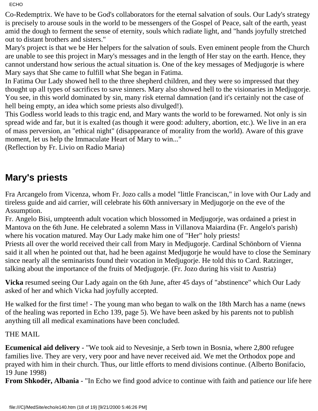Co-Redemptrix. We have to be God's collaborators for the eternal salvation of souls. Our Lady's strategy is precisely to arouse souls in the world to be messengers of the Gospel of Peace, salt of the earth, yeast amid the dough to ferment the sense of eternity, souls which radiate light, and "hands joyfully stretched out to distant brothers and sisters."

Mary's project is that we be Her helpers for the salvation of souls. Even eminent people from the Church are unable to see this project in Mary's messages and in the length of Her stay on the earth. Hence, they cannot understand how serious the actual situation is. One of the key messages of Medjugorje is where Mary says that She came to fulfill what She began in Fatima.

In Fatima Our Lady showed hell to the three shepherd children, and they were so impressed that they thought up all types of sacrifices to save sinners. Mary also showed hell to the visionaries in Medjugorje. You see, in this world dominated by sin, many risk eternal damnation (and it's certainly not the case of hell being empty, an idea which some priests also divulged!).

This Godless world leads to this tragic end, and Mary wants the world to be forewarned. Not only is sin spread wide and far, but it is exalted (as though it were good: adultery, abortion, etc.). We live in an era of mass perversion, an "ethical night" (disappearance of morality from the world). Aware of this grave moment, let us help the Immaculate Heart of Mary to win..."

(Reflection by Fr. Livio on Radio Maria)

### **Mary's priests**

Fra Arcangelo from Vicenza, whom Fr. Jozo calls a model "little Franciscan," in love with Our Lady and tireless guide and aid carrier, will celebrate his 60th anniversary in Medjugorje on the eve of the Assumption.

Fr. Angelo Bisi, umpteenth adult vocation which blossomed in Medjugorje, was ordained a priest in Mantova on the 6th June. He celebrated a solemn Mass in Villanova Maiardina (Fr. Angelo's parish) where his vocation matured. May Our Lady make him one of "Her" holy priests!

Priests all over the world received their call from Mary in Medjugorje. Cardinal Schönborn of Vienna said it all when he pointed out that, had he been against Medjugorje he would have to close the Seminary since nearly all the seminarists found their vocation in Medjugorje. He told this to Card. Ratzinger, talking about the importance of the fruits of Medjugorje. (Fr. Jozo during his visit to Austria)

**Vicka** resumed seeing Our Lady again on the 6th June, after 45 days of "abstinence" which Our Lady asked of her and which Vicka had joyfully accepted.

He walked for the first time! - The young man who began to walk on the 18th March has a name (news of the healing was reported in Echo 139, page 5). We have been asked by his parents not to publish anything till all medical examinations have been concluded.

### THE MAIL

**Ecumenical aid delivery** - "We took aid to Nevesinje, a Serb town in Bosnia, where 2,800 refugee families live. They are very, very poor and have never received aid. We met the Orthodox pope and prayed with him in their church. Thus, our little efforts to mend divisions continue. (Alberto Bonifacio, 19 June 1998)

**From Shkodër, Albania** - "In Echo we find good advice to continue with faith and patience our life here